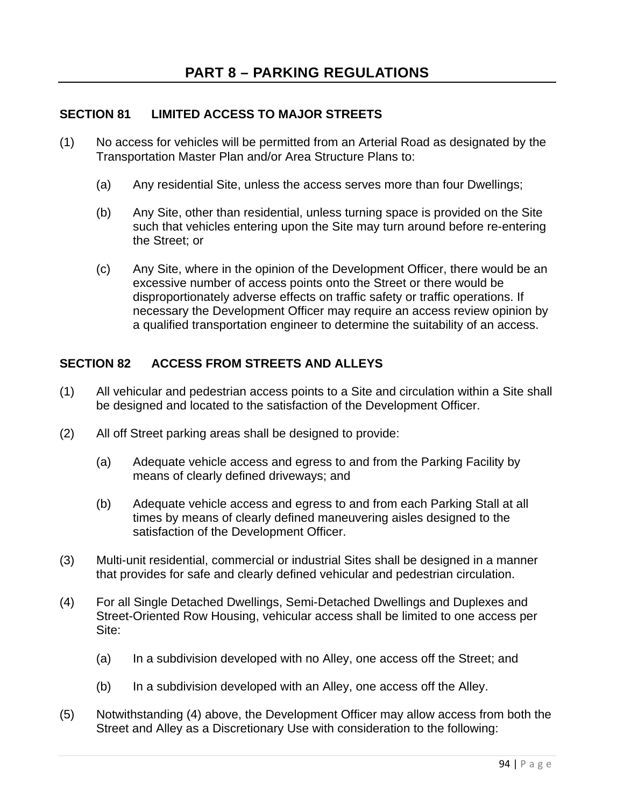## **SECTION 81 LIMITED ACCESS TO MAJOR STREETS**

- (1) No access for vehicles will be permitted from an Arterial Road as designated by the Transportation Master Plan and/or Area Structure Plans to:
	- (a) Any residential Site, unless the access serves more than four Dwellings;
	- (b) Any Site, other than residential, unless turning space is provided on the Site such that vehicles entering upon the Site may turn around before re-entering the Street; or
	- (c) Any Site, where in the opinion of the Development Officer, there would be an excessive number of access points onto the Street or there would be disproportionately adverse effects on traffic safety or traffic operations. If necessary the Development Officer may require an access review opinion by a qualified transportation engineer to determine the suitability of an access.

## **SECTION 82 ACCESS FROM STREETS AND ALLEYS**

- (1) All vehicular and pedestrian access points to a Site and circulation within a Site shall be designed and located to the satisfaction of the Development Officer.
- (2) All off Street parking areas shall be designed to provide:
	- (a) Adequate vehicle access and egress to and from the Parking Facility by means of clearly defined driveways; and
	- (b) Adequate vehicle access and egress to and from each Parking Stall at all times by means of clearly defined maneuvering aisles designed to the satisfaction of the Development Officer.
- (3) Multi-unit residential, commercial or industrial Sites shall be designed in a manner that provides for safe and clearly defined vehicular and pedestrian circulation.
- (4) For all Single Detached Dwellings, Semi-Detached Dwellings and Duplexes and Street-Oriented Row Housing, vehicular access shall be limited to one access per Site:
	- (a) In a subdivision developed with no Alley, one access off the Street; and
	- (b) In a subdivision developed with an Alley, one access off the Alley.
- (5) Notwithstanding (4) above, the Development Officer may allow access from both the Street and Alley as a Discretionary Use with consideration to the following: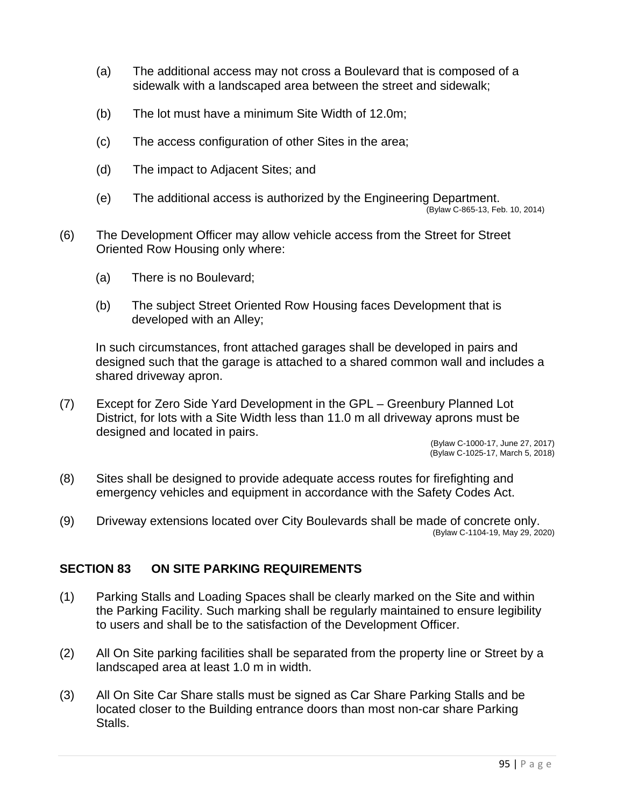- (a) The additional access may not cross a Boulevard that is composed of a sidewalk with a landscaped area between the street and sidewalk;
- (b) The lot must have a minimum Site Width of 12.0m;
- (c) The access configuration of other Sites in the area;
- (d) The impact to Adjacent Sites; and
- (e) The additional access is authorized by the Engineering Department. (Bylaw C-865-13, Feb. 10, 2014)
- (6) The Development Officer may allow vehicle access from the Street for Street Oriented Row Housing only where:
	- (a) There is no Boulevard;
	- (b) The subject Street Oriented Row Housing faces Development that is developed with an Alley;

In such circumstances, front attached garages shall be developed in pairs and designed such that the garage is attached to a shared common wall and includes a shared driveway apron.

(7) Except for Zero Side Yard Development in the GPL – Greenbury Planned Lot District, for lots with a Site Width less than 11.0 m all driveway aprons must be designed and located in pairs.

> (Bylaw C-1000-17, June 27, 2017) (Bylaw C-1025-17, March 5, 2018)

- (8) Sites shall be designed to provide adequate access routes for firefighting and emergency vehicles and equipment in accordance with the Safety Codes Act.
- (9) Driveway extensions located over City Boulevards shall be made of concrete only. (Bylaw C-1104-19, May 29, 2020)

#### **SECTION 83 ON SITE PARKING REQUIREMENTS**

- (1) Parking Stalls and Loading Spaces shall be clearly marked on the Site and within the Parking Facility. Such marking shall be regularly maintained to ensure legibility to users and shall be to the satisfaction of the Development Officer.
- (2) All On Site parking facilities shall be separated from the property line or Street by a landscaped area at least 1.0 m in width.
- (3) All On Site Car Share stalls must be signed as Car Share Parking Stalls and be located closer to the Building entrance doors than most non-car share Parking Stalls.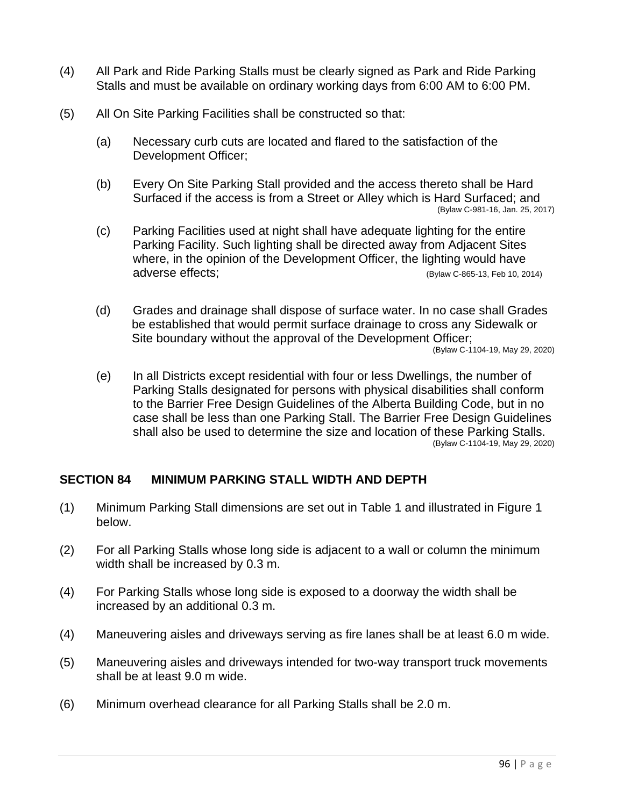- (4) All Park and Ride Parking Stalls must be clearly signed as Park and Ride Parking Stalls and must be available on ordinary working days from 6:00 AM to 6:00 PM.
- (5) All On Site Parking Facilities shall be constructed so that:
	- (a) Necessary curb cuts are located and flared to the satisfaction of the Development Officer;
	- (b) Every On Site Parking Stall provided and the access thereto shall be Hard Surfaced if the access is from a Street or Alley which is Hard Surfaced; and (Bylaw C-981-16, Jan. 25, 2017)
	- (c) Parking Facilities used at night shall have adequate lighting for the entire Parking Facility. Such lighting shall be directed away from Adjacent Sites where, in the opinion of the Development Officer, the lighting would have adverse effects; (Bylaw C-865-13, Feb 10, 2014)
	- (d) Grades and drainage shall dispose of surface water. In no case shall Grades be established that would permit surface drainage to cross any Sidewalk or Site boundary without the approval of the Development Officer; (Bylaw C-1104-19, May 29, 2020)
	- (e) In all Districts except residential with four or less Dwellings, the number of Parking Stalls designated for persons with physical disabilities shall conform to the Barrier Free Design Guidelines of the Alberta Building Code, but in no case shall be less than one Parking Stall. The Barrier Free Design Guidelines shall also be used to determine the size and location of these Parking Stalls. (Bylaw C-1104-19, May 29, 2020)

#### **SECTION 84 MINIMUM PARKING STALL WIDTH AND DEPTH**

- (1) Minimum Parking Stall dimensions are set out in Table 1 and illustrated in Figure 1 below.
- (2) For all Parking Stalls whose long side is adjacent to a wall or column the minimum width shall be increased by 0.3 m.
- (4) For Parking Stalls whose long side is exposed to a doorway the width shall be increased by an additional 0.3 m.
- (4) Maneuvering aisles and driveways serving as fire lanes shall be at least 6.0 m wide.
- (5) Maneuvering aisles and driveways intended for two-way transport truck movements shall be at least 9.0 m wide.
- (6) Minimum overhead clearance for all Parking Stalls shall be 2.0 m.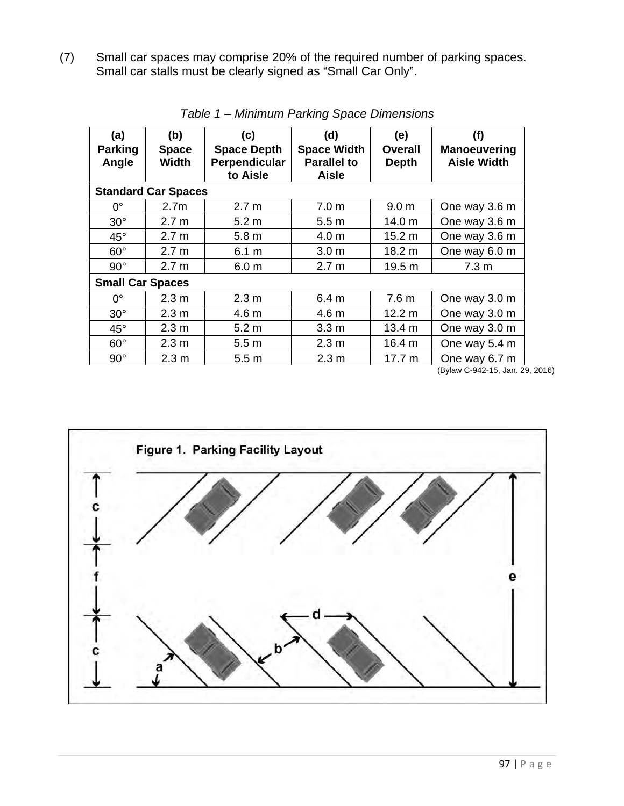(7) Small car spaces may comprise 20% of the required number of parking spaces. Small car stalls must be clearly signed as "Small Car Only".

| (a)<br><b>Parking</b><br>Angle | (b)<br><b>Space</b><br>Width | (c)<br><b>Space Depth</b><br>Perpendicular<br>to Aisle | (d)<br><b>Space Width</b><br><b>Parallel to</b><br><b>Aisle</b> | (e)<br><b>Overall</b><br><b>Depth</b> | (f)<br><b>Manoeuvering</b><br><b>Aisle Width</b> |
|--------------------------------|------------------------------|--------------------------------------------------------|-----------------------------------------------------------------|---------------------------------------|--------------------------------------------------|
| <b>Standard Car Spaces</b>     |                              |                                                        |                                                                 |                                       |                                                  |
| $0^{\circ}$                    | 2.7 <sub>m</sub>             | 2.7 <sub>m</sub>                                       | 7.0 <sub>m</sub>                                                | 9.0 <sub>m</sub>                      | One way 3.6 m                                    |
| $30^\circ$                     | 2.7 <sub>m</sub>             | 5.2 <sub>m</sub>                                       | 5.5 <sub>m</sub>                                                | 14.0 m                                | One way 3.6 m                                    |
| $45^{\circ}$                   | 2.7 <sub>m</sub>             | 5.8 <sub>m</sub>                                       | 4.0 m                                                           | 15.2 m                                | One way 3.6 m                                    |
| $60^\circ$                     | 2.7 <sub>m</sub>             | 6.1 m                                                  | 3.0 <sub>m</sub>                                                | 18.2 m                                | One way 6.0 m                                    |
| $90^\circ$                     | 2.7 <sub>m</sub>             | 6.0 <sub>m</sub>                                       | 2.7 <sub>m</sub>                                                | 19.5 m                                | 7.3 <sub>m</sub>                                 |
| <b>Small Car Spaces</b>        |                              |                                                        |                                                                 |                                       |                                                  |
| $0^{\circ}$                    | 2.3 <sub>m</sub>             | 2.3 <sub>m</sub>                                       | 6.4 <sub>m</sub>                                                | 7.6 <sub>m</sub>                      | One way 3.0 m                                    |
| $30^\circ$                     | 2.3 <sub>m</sub>             | 4.6 m                                                  | 4.6 m                                                           | 12.2 m                                | One way 3.0 m                                    |
| $45^{\circ}$                   | 2.3 <sub>m</sub>             | 5.2 <sub>m</sub>                                       | 3.3 <sub>m</sub>                                                | 13.4 m                                | One way 3.0 m                                    |
| $60^\circ$                     | 2.3 <sub>m</sub>             | 5.5 <sub>m</sub>                                       | 2.3 <sub>m</sub>                                                | 16.4 m                                | One way 5.4 m                                    |
| $90^\circ$                     | 2.3 <sub>m</sub>             | 5.5 <sub>m</sub>                                       | 2.3 <sub>m</sub>                                                | 17.7 m                                | One way 6.7 m                                    |

*Table 1 – Minimum Parking Space Dimensions* 

(Bylaw C-942-15, Jan. 29, 2016)

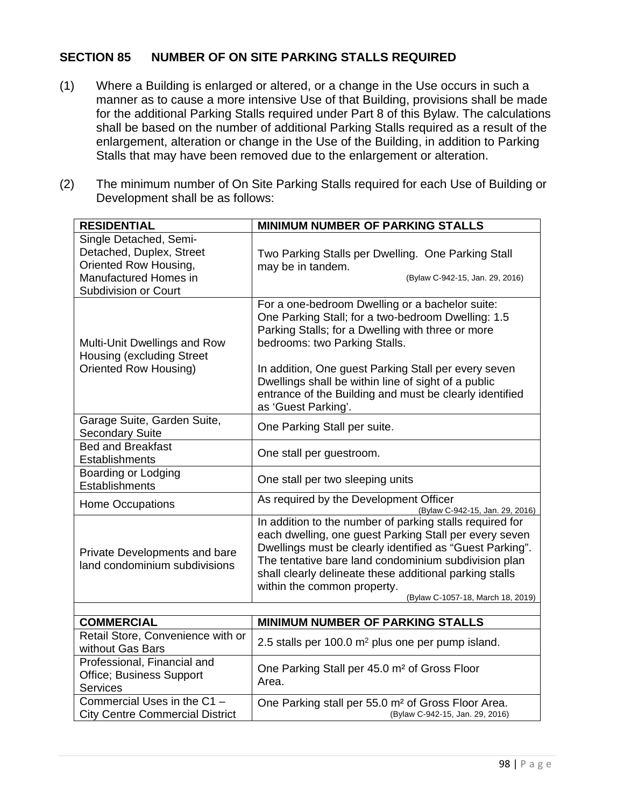## **SECTION 85 NUMBER OF ON SITE PARKING STALLS REQUIRED**

- (1) Where a Building is enlarged or altered, or a change in the Use occurs in such a manner as to cause a more intensive Use of that Building, provisions shall be made for the additional Parking Stalls required under Part 8 of this Bylaw. The calculations shall be based on the number of additional Parking Stalls required as a result of the enlargement, alteration or change in the Use of the Building, in addition to Parking Stalls that may have been removed due to the enlargement or alteration.
- (2) The minimum number of On Site Parking Stalls required for each Use of Building or Development shall be as follows:

| <b>RESIDENTIAL</b>                                                                                                                  | <b>MINIMUM NUMBER OF PARKING STALLS</b>                                                                                                                                                                                                                                                                                                                                                      |  |
|-------------------------------------------------------------------------------------------------------------------------------------|----------------------------------------------------------------------------------------------------------------------------------------------------------------------------------------------------------------------------------------------------------------------------------------------------------------------------------------------------------------------------------------------|--|
| Single Detached, Semi-<br>Detached, Duplex, Street<br>Oriented Row Housing,<br>Manufactured Homes in<br><b>Subdivision or Court</b> | Two Parking Stalls per Dwelling. One Parking Stall<br>may be in tandem.<br>(Bylaw C-942-15, Jan. 29, 2016)                                                                                                                                                                                                                                                                                   |  |
| Multi-Unit Dwellings and Row<br><b>Housing (excluding Street</b><br>Oriented Row Housing)                                           | For a one-bedroom Dwelling or a bachelor suite:<br>One Parking Stall; for a two-bedroom Dwelling: 1.5<br>Parking Stalls; for a Dwelling with three or more<br>bedrooms: two Parking Stalls.<br>In addition, One guest Parking Stall per every seven<br>Dwellings shall be within line of sight of a public<br>entrance of the Building and must be clearly identified<br>as 'Guest Parking'. |  |
| Garage Suite, Garden Suite,<br><b>Secondary Suite</b>                                                                               | One Parking Stall per suite.                                                                                                                                                                                                                                                                                                                                                                 |  |
| <b>Bed and Breakfast</b><br><b>Establishments</b>                                                                                   | One stall per guestroom.                                                                                                                                                                                                                                                                                                                                                                     |  |
| Boarding or Lodging<br>Establishments                                                                                               | One stall per two sleeping units                                                                                                                                                                                                                                                                                                                                                             |  |
| <b>Home Occupations</b>                                                                                                             | As required by the Development Officer<br>(Bylaw C-942-15, Jan. 29, 2016)                                                                                                                                                                                                                                                                                                                    |  |
| Private Developments and bare<br>land condominium subdivisions                                                                      | In addition to the number of parking stalls required for<br>each dwelling, one guest Parking Stall per every seven<br>Dwellings must be clearly identified as "Guest Parking".<br>The tentative bare land condominium subdivision plan<br>shall clearly delineate these additional parking stalls<br>within the common property.<br>(Bylaw C-1057-18, March 18, 2019)                        |  |
| <b>COMMERCIAL</b><br><b>MINIMUM NUMBER OF PARKING STALLS</b>                                                                        |                                                                                                                                                                                                                                                                                                                                                                                              |  |
| Retail Store, Convenience with or<br>without Gas Bars                                                                               | 2.5 stalls per 100.0 m <sup>2</sup> plus one per pump island.                                                                                                                                                                                                                                                                                                                                |  |
| Professional, Financial and<br>Office; Business Support<br><b>Services</b>                                                          | One Parking Stall per 45.0 m <sup>2</sup> of Gross Floor<br>Area.                                                                                                                                                                                                                                                                                                                            |  |
| Commercial Uses in the C1 -<br><b>City Centre Commercial District</b>                                                               | One Parking stall per 55.0 m <sup>2</sup> of Gross Floor Area.<br>(Bylaw C-942-15, Jan. 29, 2016)                                                                                                                                                                                                                                                                                            |  |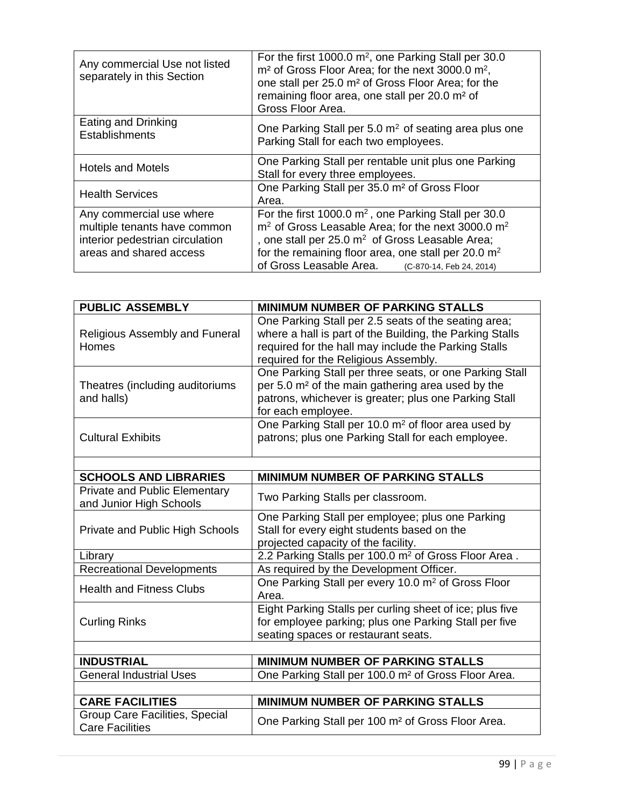| Any commercial Use not listed<br>separately in this Section                                                            | For the first 1000.0 $m^2$ , one Parking Stall per 30.0<br>m <sup>2</sup> of Gross Floor Area; for the next 3000.0 m <sup>2</sup> ,<br>one stall per 25.0 m <sup>2</sup> of Gross Floor Area; for the<br>remaining floor area, one stall per 20.0 m <sup>2</sup> of<br>Gross Floor Area.                                     |  |
|------------------------------------------------------------------------------------------------------------------------|------------------------------------------------------------------------------------------------------------------------------------------------------------------------------------------------------------------------------------------------------------------------------------------------------------------------------|--|
| Eating and Drinking<br><b>Establishments</b>                                                                           | One Parking Stall per 5.0 m <sup>2</sup> of seating area plus one<br>Parking Stall for each two employees.                                                                                                                                                                                                                   |  |
| <b>Hotels and Motels</b>                                                                                               | One Parking Stall per rentable unit plus one Parking<br>Stall for every three employees.                                                                                                                                                                                                                                     |  |
| <b>Health Services</b>                                                                                                 | One Parking Stall per 35.0 m <sup>2</sup> of Gross Floor<br>Area.                                                                                                                                                                                                                                                            |  |
| Any commercial use where<br>multiple tenants have common<br>interior pedestrian circulation<br>areas and shared access | For the first 1000.0 $m2$ , one Parking Stall per 30.0<br>m <sup>2</sup> of Gross Leasable Area; for the next 3000.0 m <sup>2</sup><br>, one stall per 25.0 m <sup>2</sup> of Gross Leasable Area;<br>for the remaining floor area, one stall per 20.0 m <sup>2</sup><br>of Gross Leasable Area.<br>(C-870-14, Feb 24, 2014) |  |

| <b>PUBLIC ASSEMBLY</b>                                          | <b>MINIMUM NUMBER OF PARKING STALLS</b>                                                                                                                                                                          |  |
|-----------------------------------------------------------------|------------------------------------------------------------------------------------------------------------------------------------------------------------------------------------------------------------------|--|
| Religious Assembly and Funeral<br>Homes                         | One Parking Stall per 2.5 seats of the seating area;<br>where a hall is part of the Building, the Parking Stalls<br>required for the hall may include the Parking Stalls<br>required for the Religious Assembly. |  |
| Theatres (including auditoriums<br>and halls)                   | One Parking Stall per three seats, or one Parking Stall<br>per 5.0 m <sup>2</sup> of the main gathering area used by the<br>patrons, whichever is greater; plus one Parking Stall<br>for each employee.          |  |
| <b>Cultural Exhibits</b>                                        | One Parking Stall per 10.0 m <sup>2</sup> of floor area used by<br>patrons; plus one Parking Stall for each employee.                                                                                            |  |
|                                                                 |                                                                                                                                                                                                                  |  |
| <b>SCHOOLS AND LIBRARIES</b>                                    | <b>MINIMUM NUMBER OF PARKING STALLS</b>                                                                                                                                                                          |  |
| <b>Private and Public Elementary</b><br>and Junior High Schools | Two Parking Stalls per classroom.                                                                                                                                                                                |  |
| Private and Public High Schools                                 | One Parking Stall per employee; plus one Parking<br>Stall for every eight students based on the<br>projected capacity of the facility.                                                                           |  |
| Library                                                         | 2.2 Parking Stalls per 100.0 m <sup>2</sup> of Gross Floor Area.                                                                                                                                                 |  |
| <b>Recreational Developments</b>                                | As required by the Development Officer.                                                                                                                                                                          |  |
| <b>Health and Fitness Clubs</b>                                 | One Parking Stall per every 10.0 m <sup>2</sup> of Gross Floor<br>Area.                                                                                                                                          |  |
| <b>Curling Rinks</b>                                            | Eight Parking Stalls per curling sheet of ice; plus five<br>for employee parking; plus one Parking Stall per five<br>seating spaces or restaurant seats.                                                         |  |
|                                                                 |                                                                                                                                                                                                                  |  |
| <b>INDUSTRIAL</b>                                               | <b>MINIMUM NUMBER OF PARKING STALLS</b>                                                                                                                                                                          |  |
| <b>General Industrial Uses</b>                                  | One Parking Stall per 100.0 m <sup>2</sup> of Gross Floor Area.                                                                                                                                                  |  |
|                                                                 |                                                                                                                                                                                                                  |  |
| <b>CARE FACILITIES</b>                                          | <b>MINIMUM NUMBER OF PARKING STALLS</b>                                                                                                                                                                          |  |
| Group Care Facilities, Special<br><b>Care Facilities</b>        | One Parking Stall per 100 m <sup>2</sup> of Gross Floor Area.                                                                                                                                                    |  |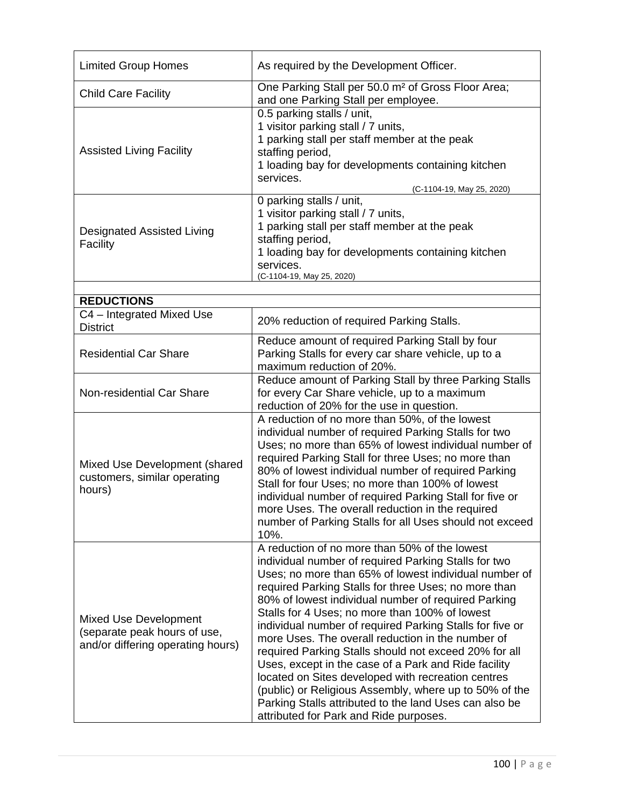| <b>Limited Group Homes</b>                                                                        | As required by the Development Officer.                                                                                                                                                                                                                                                                                                                                                                                                                                                                                                                                                                                                                                                                                                                                               |  |
|---------------------------------------------------------------------------------------------------|---------------------------------------------------------------------------------------------------------------------------------------------------------------------------------------------------------------------------------------------------------------------------------------------------------------------------------------------------------------------------------------------------------------------------------------------------------------------------------------------------------------------------------------------------------------------------------------------------------------------------------------------------------------------------------------------------------------------------------------------------------------------------------------|--|
| <b>Child Care Facility</b>                                                                        | One Parking Stall per 50.0 m <sup>2</sup> of Gross Floor Area;<br>and one Parking Stall per employee.                                                                                                                                                                                                                                                                                                                                                                                                                                                                                                                                                                                                                                                                                 |  |
| <b>Assisted Living Facility</b>                                                                   | 0.5 parking stalls / unit,<br>1 visitor parking stall / 7 units,<br>1 parking stall per staff member at the peak<br>staffing period,<br>1 loading bay for developments containing kitchen<br>services.<br>(C-1104-19, May 25, 2020)                                                                                                                                                                                                                                                                                                                                                                                                                                                                                                                                                   |  |
| <b>Designated Assisted Living</b><br>Facility                                                     | 0 parking stalls / unit,<br>1 visitor parking stall / 7 units,<br>1 parking stall per staff member at the peak<br>staffing period,<br>1 loading bay for developments containing kitchen<br>services.<br>(C-1104-19, May 25, 2020)                                                                                                                                                                                                                                                                                                                                                                                                                                                                                                                                                     |  |
|                                                                                                   |                                                                                                                                                                                                                                                                                                                                                                                                                                                                                                                                                                                                                                                                                                                                                                                       |  |
| <b>REDUCTIONS</b><br>C4 - Integrated Mixed Use<br><b>District</b>                                 | 20% reduction of required Parking Stalls.                                                                                                                                                                                                                                                                                                                                                                                                                                                                                                                                                                                                                                                                                                                                             |  |
| <b>Residential Car Share</b>                                                                      | Reduce amount of required Parking Stall by four<br>Parking Stalls for every car share vehicle, up to a<br>maximum reduction of 20%.                                                                                                                                                                                                                                                                                                                                                                                                                                                                                                                                                                                                                                                   |  |
| Non-residential Car Share                                                                         | Reduce amount of Parking Stall by three Parking Stalls<br>for every Car Share vehicle, up to a maximum<br>reduction of 20% for the use in question.                                                                                                                                                                                                                                                                                                                                                                                                                                                                                                                                                                                                                                   |  |
| Mixed Use Development (shared<br>customers, similar operating<br>hours)                           | A reduction of no more than 50%, of the lowest<br>individual number of required Parking Stalls for two<br>Uses; no more than 65% of lowest individual number of<br>required Parking Stall for three Uses; no more than<br>80% of lowest individual number of required Parking<br>Stall for four Uses; no more than 100% of lowest<br>individual number of required Parking Stall for five or<br>more Uses. The overall reduction in the required<br>number of Parking Stalls for all Uses should not exceed<br>10%.                                                                                                                                                                                                                                                                   |  |
| <b>Mixed Use Development</b><br>(separate peak hours of use,<br>and/or differing operating hours) | A reduction of no more than 50% of the lowest<br>individual number of required Parking Stalls for two<br>Uses; no more than 65% of lowest individual number of<br>required Parking Stalls for three Uses; no more than<br>80% of lowest individual number of required Parking<br>Stalls for 4 Uses; no more than 100% of lowest<br>individual number of required Parking Stalls for five or<br>more Uses. The overall reduction in the number of<br>required Parking Stalls should not exceed 20% for all<br>Uses, except in the case of a Park and Ride facility<br>located on Sites developed with recreation centres<br>(public) or Religious Assembly, where up to 50% of the<br>Parking Stalls attributed to the land Uses can also be<br>attributed for Park and Ride purposes. |  |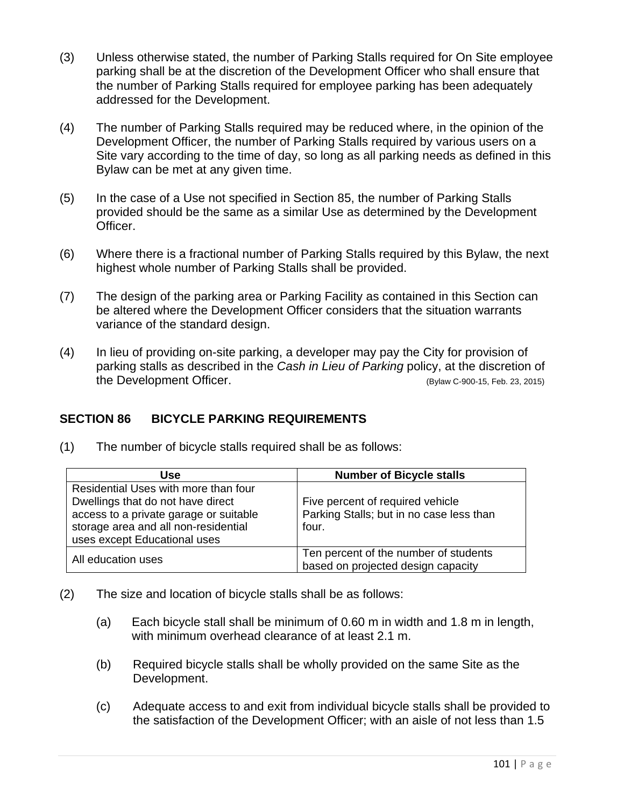- (3) Unless otherwise stated, the number of Parking Stalls required for On Site employee parking shall be at the discretion of the Development Officer who shall ensure that the number of Parking Stalls required for employee parking has been adequately addressed for the Development.
- (4) The number of Parking Stalls required may be reduced where, in the opinion of the Development Officer, the number of Parking Stalls required by various users on a Site vary according to the time of day, so long as all parking needs as defined in this Bylaw can be met at any given time.
- (5) In the case of a Use not specified in Section 85, the number of Parking Stalls provided should be the same as a similar Use as determined by the Development Officer.
- (6) Where there is a fractional number of Parking Stalls required by this Bylaw, the next highest whole number of Parking Stalls shall be provided.
- (7) The design of the parking area or Parking Facility as contained in this Section can be altered where the Development Officer considers that the situation warrants variance of the standard design.
- (4) In lieu of providing on-site parking, a developer may pay the City for provision of parking stalls as described in the *Cash in Lieu of Parking* policy, at the discretion of the Development Officer. (Bylaw C-900-15, Feb. 23, 2015)

# **SECTION 86 BICYCLE PARKING REQUIREMENTS**

(1) The number of bicycle stalls required shall be as follows:

| Use                                                                                                                                                                                         | <b>Number of Bicycle stalls</b>                                                       |
|---------------------------------------------------------------------------------------------------------------------------------------------------------------------------------------------|---------------------------------------------------------------------------------------|
| Residential Uses with more than four<br>Dwellings that do not have direct<br>access to a private garage or suitable<br>storage area and all non-residential<br>uses except Educational uses | Five percent of required vehicle<br>Parking Stalls; but in no case less than<br>four. |
| All education uses                                                                                                                                                                          | Ten percent of the number of students<br>based on projected design capacity           |

- (2) The size and location of bicycle stalls shall be as follows:
	- (a) Each bicycle stall shall be minimum of 0.60 m in width and 1.8 m in length, with minimum overhead clearance of at least 2.1 m.
	- (b) Required bicycle stalls shall be wholly provided on the same Site as the Development.
	- (c) Adequate access to and exit from individual bicycle stalls shall be provided to the satisfaction of the Development Officer; with an aisle of not less than 1.5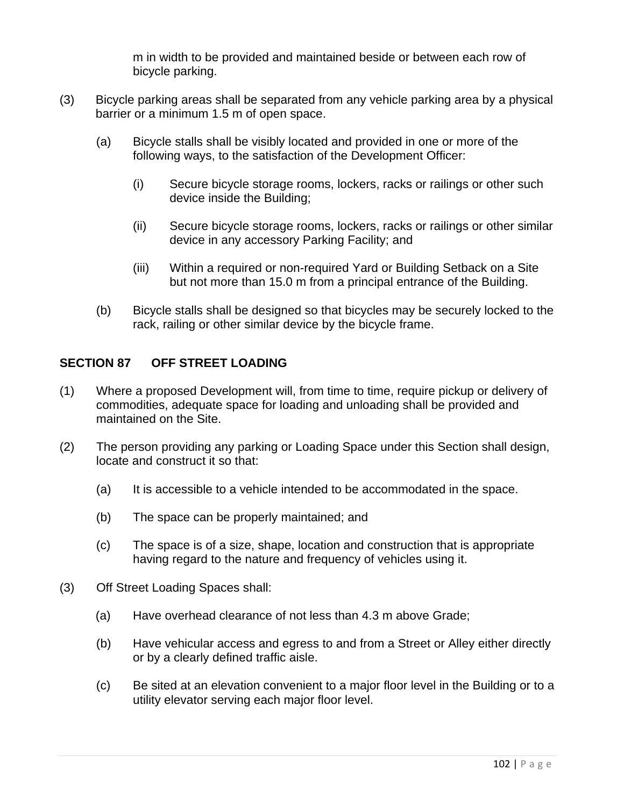m in width to be provided and maintained beside or between each row of bicycle parking.

- (3) Bicycle parking areas shall be separated from any vehicle parking area by a physical barrier or a minimum 1.5 m of open space.
	- (a) Bicycle stalls shall be visibly located and provided in one or more of the following ways, to the satisfaction of the Development Officer:
		- (i) Secure bicycle storage rooms, lockers, racks or railings or other such device inside the Building;
		- (ii) Secure bicycle storage rooms, lockers, racks or railings or other similar device in any accessory Parking Facility; and
		- (iii) Within a required or non-required Yard or Building Setback on a Site but not more than 15.0 m from a principal entrance of the Building.
	- (b) Bicycle stalls shall be designed so that bicycles may be securely locked to the rack, railing or other similar device by the bicycle frame.

## **SECTION 87 OFF STREET LOADING**

- (1) Where a proposed Development will, from time to time, require pickup or delivery of commodities, adequate space for loading and unloading shall be provided and maintained on the Site.
- (2) The person providing any parking or Loading Space under this Section shall design, locate and construct it so that:
	- (a) It is accessible to a vehicle intended to be accommodated in the space.
	- (b) The space can be properly maintained; and
	- (c) The space is of a size, shape, location and construction that is appropriate having regard to the nature and frequency of vehicles using it.
- (3) Off Street Loading Spaces shall:
	- (a) Have overhead clearance of not less than 4.3 m above Grade;
	- (b) Have vehicular access and egress to and from a Street or Alley either directly or by a clearly defined traffic aisle.
	- (c) Be sited at an elevation convenient to a major floor level in the Building or to a utility elevator serving each major floor level.